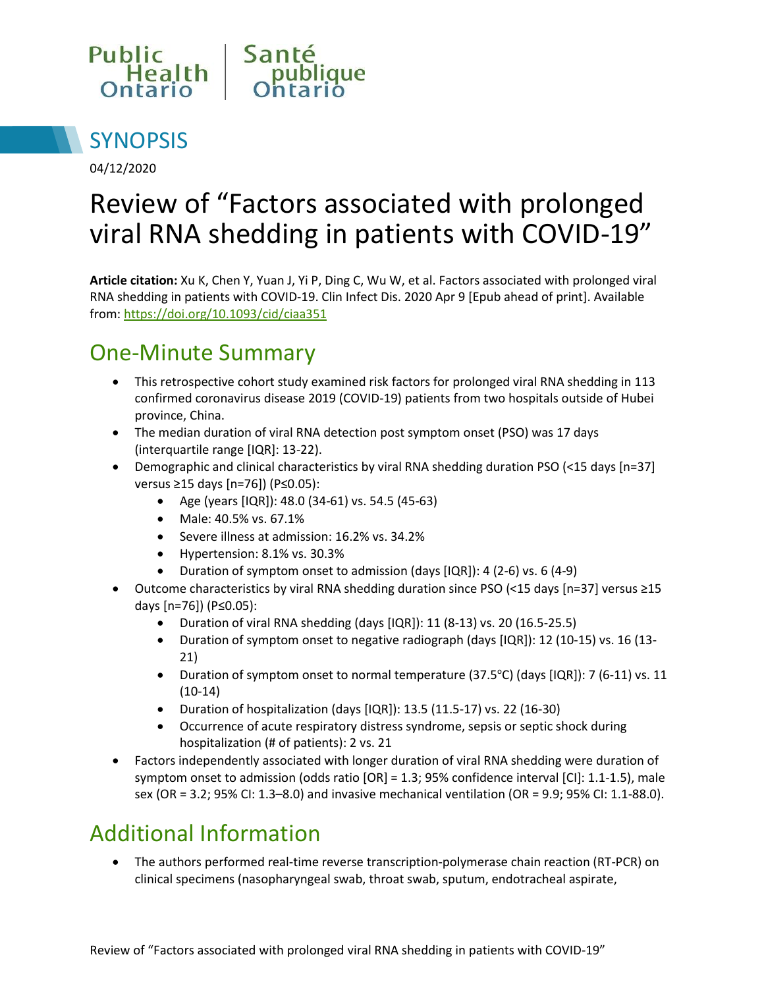



04/12/2020

# Review of "Factors associated with prolonged viral RNA shedding in patients with COVID-19"

**Article citation:** Xu K, Chen Y, Yuan J, Yi P, Ding C, Wu W, et al. Factors associated with prolonged viral RNA shedding in patients with COVID-19. Clin Infect Dis. 2020 Apr 9 [Epub ahead of print]. Available from:<https://doi.org/10.1093/cid/ciaa351>

#### One-Minute Summary

- This retrospective cohort study examined risk factors for prolonged viral RNA shedding in 113 confirmed coronavirus disease 2019 (COVID-19) patients from two hospitals outside of Hubei province, China.
- The median duration of viral RNA detection post symptom onset (PSO) was 17 days (interquartile range [IQR]: 13-22).
- Demographic and clinical characteristics by viral RNA shedding duration PSO (<15 days [n=37] versus ≥15 days [n=76]) (P≤0.05):
	- Age (years [IQR]): 48.0 (34-61) vs. 54.5 (45-63)
	- Male: 40.5% vs. 67.1%
	- Severe illness at admission: 16.2% vs. 34.2%
	- Hypertension: 8.1% vs. 30.3%
	- Duration of symptom onset to admission (days [IQR]): 4 (2-6) vs. 6 (4-9)
- Outcome characteristics by viral RNA shedding duration since PSO (<15 days [n=37] versus ≥15 days [n=76]) (P≤0.05):
	- Duration of viral RNA shedding (days [IQR]): 11 (8-13) vs. 20 (16.5-25.5)
	- Duration of symptom onset to negative radiograph (days [IQR]): 12 (10-15) vs. 16 (13- 21)
	- Duration of symptom onset to normal temperature  $(37.5^{\circ}C)$  (days [IQR]): 7 (6-11) vs. 11 (10-14)
	- Duration of hospitalization (days [IQR]): 13.5 (11.5-17) vs. 22 (16-30)
	- Occurrence of acute respiratory distress syndrome, sepsis or septic shock during hospitalization (# of patients): 2 vs. 21
- Factors independently associated with longer duration of viral RNA shedding were duration of symptom onset to admission (odds ratio [OR] = 1.3; 95% confidence interval [CI]: 1.1-1.5), male sex (OR = 3.2; 95% CI: 1.3–8.0) and invasive mechanical ventilation (OR = 9.9; 95% CI: 1.1-88.0).

## Additional Information

 The authors performed real-time reverse transcription-polymerase chain reaction (RT-PCR) on clinical specimens (nasopharyngeal swab, throat swab, sputum, endotracheal aspirate,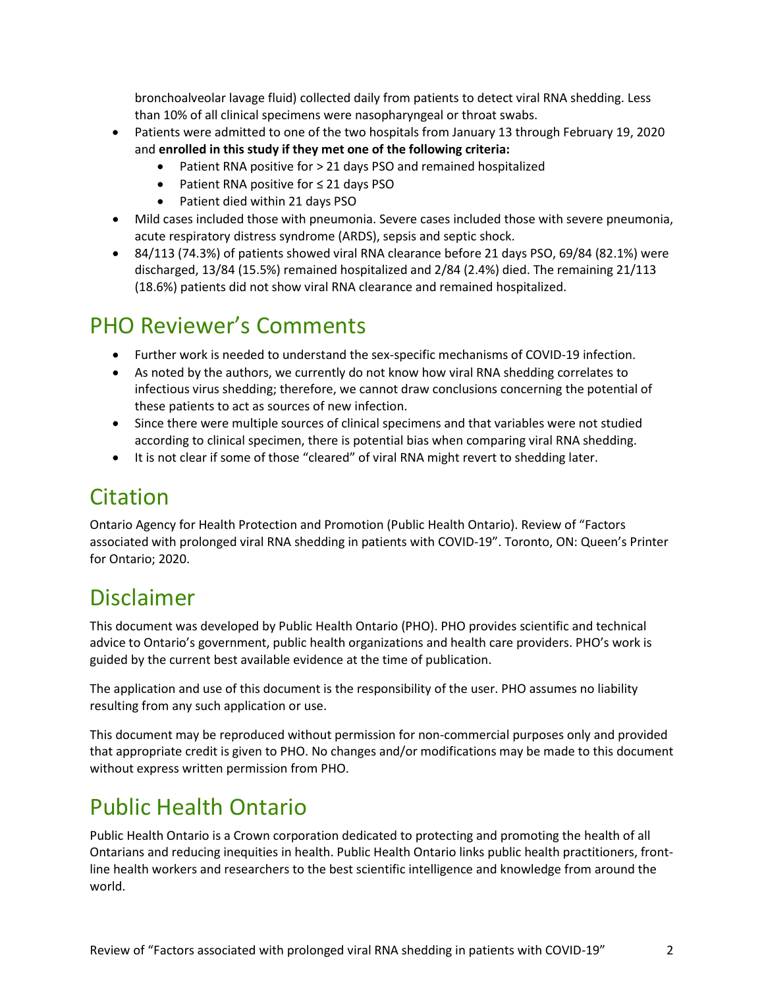bronchoalveolar lavage fluid) collected daily from patients to detect viral RNA shedding. Less than 10% of all clinical specimens were nasopharyngeal or throat swabs.

- Patients were admitted to one of the two hospitals from January 13 through February 19, 2020 and **enrolled in this study if they met one of the following criteria:**
	- Patient RNA positive for > 21 days PSO and remained hospitalized
	- Patient RNA positive for ≤ 21 days PSO
	- Patient died within 21 days PSO
- Mild cases included those with pneumonia. Severe cases included those with severe pneumonia, acute respiratory distress syndrome (ARDS), sepsis and septic shock.
- 84/113 (74.3%) of patients showed viral RNA clearance before 21 days PSO, 69/84 (82.1%) were discharged, 13/84 (15.5%) remained hospitalized and 2/84 (2.4%) died. The remaining 21/113 (18.6%) patients did not show viral RNA clearance and remained hospitalized.

## PHO Reviewer's Comments

- Further work is needed to understand the sex-specific mechanisms of COVID-19 infection.
- As noted by the authors, we currently do not know how viral RNA shedding correlates to infectious virus shedding; therefore, we cannot draw conclusions concerning the potential of these patients to act as sources of new infection.
- Since there were multiple sources of clinical specimens and that variables were not studied according to clinical specimen, there is potential bias when comparing viral RNA shedding.
- It is not clear if some of those "cleared" of viral RNA might revert to shedding later.

## Citation

Ontario Agency for Health Protection and Promotion (Public Health Ontario). Review of "Factors associated with prolonged viral RNA shedding in patients with COVID-19". Toronto, ON: Queen's Printer for Ontario; 2020.

#### Disclaimer

This document was developed by Public Health Ontario (PHO). PHO provides scientific and technical advice to Ontario's government, public health organizations and health care providers. PHO's work is guided by the current best available evidence at the time of publication.

The application and use of this document is the responsibility of the user. PHO assumes no liability resulting from any such application or use.

This document may be reproduced without permission for non-commercial purposes only and provided that appropriate credit is given to PHO. No changes and/or modifications may be made to this document without express written permission from PHO.

## Public Health Ontario

Public Health Ontario is a Crown corporation dedicated to protecting and promoting the health of all Ontarians and reducing inequities in health. Public Health Ontario links public health practitioners, frontline health workers and researchers to the best scientific intelligence and knowledge from around the world.